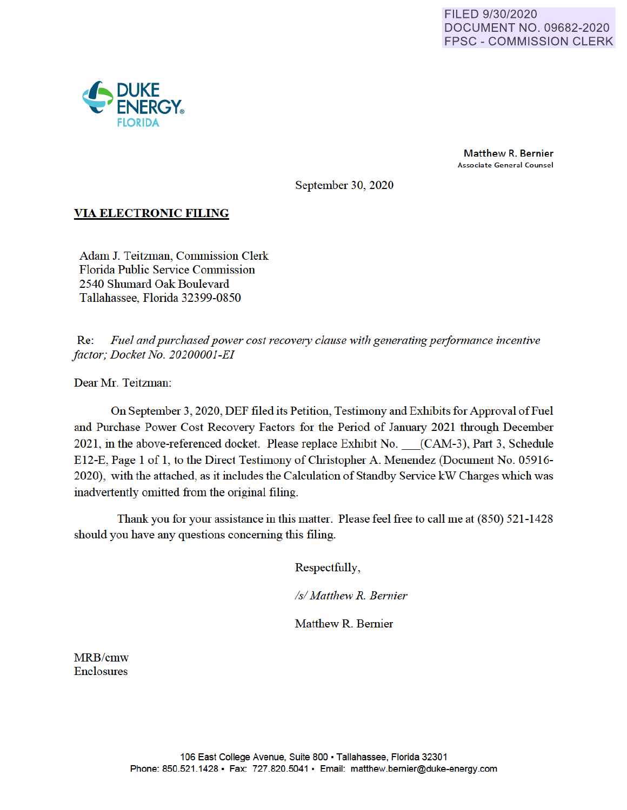

Matthew R. Bernier Associate General Counsel

September 30, 2020

## **VIA ELECTRONIC FILING**

Adam J. Teitzman, Commission Clerk Florida Public Service Commission 2540 Shumard Oak Boulevard Tallahassee, Florida 32399-0850

Re: *Fuel and purchased power cost recovery clause with generating performance incentive factor; Docket No. 20200001-EI* 

Dear Mr. Teitzman:

On September 3, 2020, DEF filed its Petition, Testimony and Exhibits for Approval of Fuel and Purchase Power Cost Recovery Factors for the Period of January 2021 through December 2021, in the above-referenced docket. Please replace Exhibit No. (CAM-3), Part 3, Schedule E12-E, Page 1 of 1, to the Direct Testimony of Christopher A. Menendez (Document No. 05916- 2020), with the attached, as it includes the Calculation of Standby Service kW Charges which was inadvertently omitted from the original filing.

Thank you for your assistance in this matter. Please feel free to call me at (850) 521-1428 should you have any questions concerning this filing.

Respectfully,

*Isl Matthew R. Bernier* 

Matthew R. Bernier

MRB/cmw Enclosures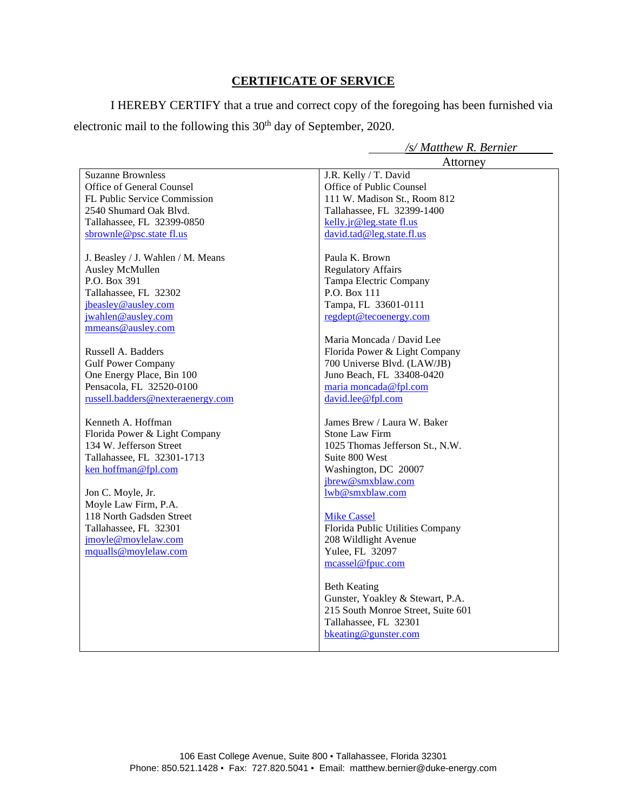## **CERTIFICATE OF SERVICE**

I HEREBY CERTIFY that a true and correct copy of the foregoing has been furnished via electronic mail to the following this 30<sup>th</sup> day of September, 2020.

*/s/ Matthew R. Bernier*

|                                   | Attorney                           |
|-----------------------------------|------------------------------------|
| <b>Suzanne Brownless</b>          | J.R. Kelly / T. David              |
| Office of General Counsel         | Office of Public Counsel           |
| FL Public Service Commission      | 111 W. Madison St., Room 812       |
| 2540 Shumard Oak Blvd.            | Tallahassee, FL 32399-1400         |
| Tallahassee, FL 32399-0850        | kelly.jr@leg.state fl.us           |
| sbrownle@psc.state fl.us          | david.tad@leg.state.fl.us          |
| J. Beasley / J. Wahlen / M. Means | Paula K. Brown                     |
| Ausley McMullen                   | <b>Regulatory Affairs</b>          |
| P.O. Box 391                      | Tampa Electric Company             |
| Tallahassee, FL 32302             | P.O. Box 111                       |
| jbeasley@ausley.com               | Tampa, FL 33601-0111               |
| jwahlen@ausley.com                | regdept@tecoenergy.com             |
| mmeans@ausley.com                 |                                    |
|                                   | Maria Moncada / David Lee          |
| Russell A. Badders                | Florida Power & Light Company      |
| <b>Gulf Power Company</b>         | 700 Universe Blvd. (LAW/JB)        |
| One Energy Place, Bin 100         | Juno Beach, FL 33408-0420          |
| Pensacola, FL 32520-0100          | maria moncada@fpl.com              |
| russell.badders@nexteraenergy.com | david.lee@fpl.com                  |
| Kenneth A. Hoffman                | James Brew / Laura W. Baker        |
| Florida Power & Light Company     | <b>Stone Law Firm</b>              |
| 134 W. Jefferson Street           | 1025 Thomas Jefferson St., N.W.    |
| Tallahassee, FL 32301-1713        | Suite 800 West                     |
| ken hoffman@fpl.com               | Washington, DC 20007               |
|                                   | jbrew@smxblaw.com                  |
| Jon C. Moyle, Jr.                 | lwb@smxblaw.com                    |
| Moyle Law Firm, P.A.              |                                    |
| 118 North Gadsden Street          | <b>Mike Cassel</b>                 |
| Tallahassee, FL 32301             | Florida Public Utilities Company   |
| jmoyle@moylelaw.com               | 208 Wildlight Avenue               |
| mqualls@moylelaw.com              | Yulee, FL 32097                    |
|                                   | mcassel@fpuc.com                   |
|                                   | <b>Beth Keating</b>                |
|                                   | Gunster, Yoakley & Stewart, P.A.   |
|                                   | 215 South Monroe Street, Suite 601 |
|                                   | Tallahassee, FL 32301              |
|                                   | bkeating@gunster.com               |